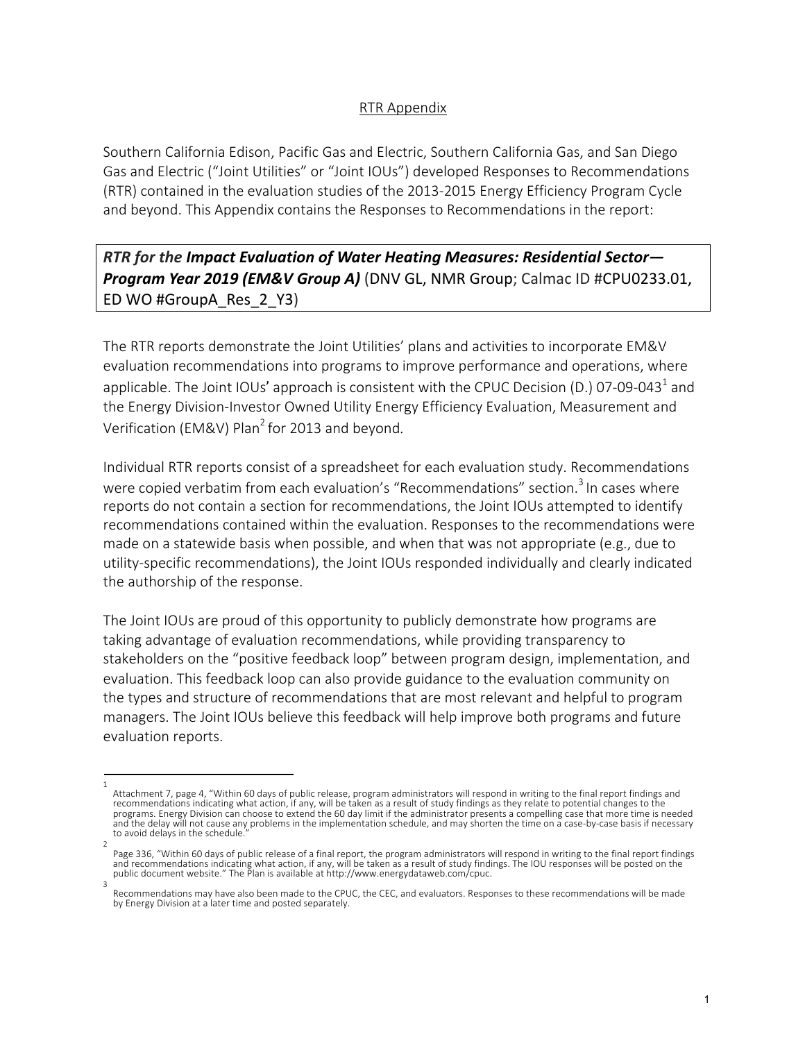## RTR Appendix

Southern California Edison, Pacific Gas and Electric, Southern California Gas, and San Diego Gas and Electric ("Joint Utilities" or "Joint IOUs") developed Responses to Recommendations (RTR) contained in the evaluation studies of the 2013-2015 Energy Efficiency Program Cycle and beyond. This Appendix contains the Responses to Recommendations in the report:

## *RTR for the Impact Evaluation of Water Heating Measures: Residential Sector— Program Year 2019 (EM&V Group A)* (DNV GL, NMR Group; Calmac ID #CPU0233.01, ED WO #GroupA\_Res\_2\_Y3)

The RTR reports demonstrate the Joint Utilities' plans and activities to incorporate EM&V evaluation recommendations into programs to improve performance and operations, where applicable. The Joint IOUs' approach is consistent with the CPUC Decision (D.) 07-09-043<sup>1</sup> and the Energy Division-Investor Owned Utility Energy Efficiency Evaluation, Measurement and Verification (EM&V) Plan<sup>2</sup> for 2013 and beyond.

Individual RTR reports consist of a spreadsheet for each evaluation study. Recommendations were copied verbatim from each evaluation's "Recommendations" section.<sup>3</sup> In cases where reports do not contain a section for recommendations, the Joint IOUs attempted to identify recommendations contained within the evaluation. Responses to the recommendations were made on a statewide basis when possible, and when that was not appropriate (e.g., due to utility-specific recommendations), the Joint IOUs responded individually and clearly indicated the authorship of the response.

The Joint IOUs are proud of this opportunity to publicly demonstrate how programs are taking advantage of evaluation recommendations, while providing transparency to stakeholders on the "positive feedback loop" between program design, implementation, and evaluation. This feedback loop can also provide guidance to the evaluation community on the types and structure of recommendations that are most relevant and helpful to program managers. The Joint IOUs believe this feedback will help improve both programs and future evaluation reports.

<sup>1</sup>  Attachment 7, page 4, "Within 60 days of public release, program administrators will respond in writing to the final report findings and recommendations indicating what action, if any, will be taken as a result of study findings as they relate to potential changes to the programs. Energy Division can choose to extend the 60 day limit if the administrator presents a compelling case that more time is needed and the delay will not cause any problems in the implementation schedule, and may shorten the time on a case-by-case basis if necessary to avoid delays in the schedule.

<sup>2</sup>  Page 336, "Within 60 days of public release of a final report, the program administrators will respond in writing to the final report findings and recommendations indicating what action, if any, will be taken as a result of study findings. The IOU responses will be posted on the public document website." The Plan is available at http://www.energydataweb.com/cpuc.

Recommendations may have also been made to the CPUC, the CEC, and evaluators. Responses to these recommendations will be made by Energy Division at a later time and posted separately.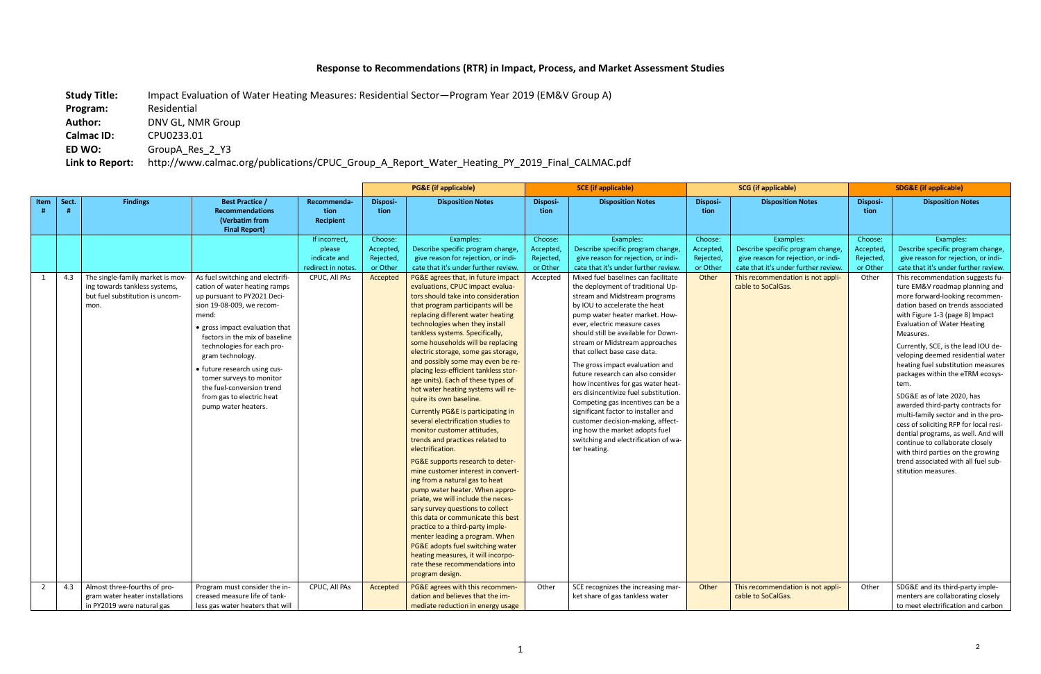## **Response to Recommendations (RTR) in Impact, Process, and Market Assessment Studies**

**Study Title:** Impact Evaluation of Water Heating Measures: Residential Sector—Program Year 2019 (EM&V Group A)

**Program:** Residential **Author:** DNV GL, NMR Group

**Calmac ID:** CPU0233.01

**ED WO:** GroupA\_Res\_2\_Y3

**Link to Report:** http://www.calmac.org/publications/CPUC\_Group\_A\_Report\_Water\_Heating\_PY\_2019\_Final\_CALMAC.pdf

|                |       |                                                                                                              |                                                                                                                                                                                                                                                                                                                                                                                                           |                                                                                |                                                          | <b>PG&amp;E</b> (if applicable)                                                                                                                                                                                                                                                                                                                                                                                                                                                                                                                                                                                                                                                                                                                                                                                                                                                                                                                                                                                                                                                                                                                                                                                                                                                                      |                                                           | <b>SCE</b> (if applicable)                                                                                                                                                                                                                                                                                                                                                                                                                                                                                                                                                                                                                                                                                                                                                                                               | <b>SCG</b> (if applicable)                             |                                                                                                                                                                                          | <b>SDG&amp;E (if applicable)</b>                     |                                                                                                                                                                                                                                                                                                                                                                                                                                                                                                                                                                                                                                                                                                                                                                                                                                                                 |
|----------------|-------|--------------------------------------------------------------------------------------------------------------|-----------------------------------------------------------------------------------------------------------------------------------------------------------------------------------------------------------------------------------------------------------------------------------------------------------------------------------------------------------------------------------------------------------|--------------------------------------------------------------------------------|----------------------------------------------------------|------------------------------------------------------------------------------------------------------------------------------------------------------------------------------------------------------------------------------------------------------------------------------------------------------------------------------------------------------------------------------------------------------------------------------------------------------------------------------------------------------------------------------------------------------------------------------------------------------------------------------------------------------------------------------------------------------------------------------------------------------------------------------------------------------------------------------------------------------------------------------------------------------------------------------------------------------------------------------------------------------------------------------------------------------------------------------------------------------------------------------------------------------------------------------------------------------------------------------------------------------------------------------------------------------|-----------------------------------------------------------|--------------------------------------------------------------------------------------------------------------------------------------------------------------------------------------------------------------------------------------------------------------------------------------------------------------------------------------------------------------------------------------------------------------------------------------------------------------------------------------------------------------------------------------------------------------------------------------------------------------------------------------------------------------------------------------------------------------------------------------------------------------------------------------------------------------------------|--------------------------------------------------------|------------------------------------------------------------------------------------------------------------------------------------------------------------------------------------------|------------------------------------------------------|-----------------------------------------------------------------------------------------------------------------------------------------------------------------------------------------------------------------------------------------------------------------------------------------------------------------------------------------------------------------------------------------------------------------------------------------------------------------------------------------------------------------------------------------------------------------------------------------------------------------------------------------------------------------------------------------------------------------------------------------------------------------------------------------------------------------------------------------------------------------|
| Item           | Sect. | <b>Findings</b>                                                                                              | <b>Best Practice /</b><br><b>Recommendations</b><br>(Verbatim from<br><b>Final Report)</b>                                                                                                                                                                                                                                                                                                                | Recommenda-<br>tion<br>Recipient                                               | Disposi-<br>tion                                         | <b>Disposition Notes</b>                                                                                                                                                                                                                                                                                                                                                                                                                                                                                                                                                                                                                                                                                                                                                                                                                                                                                                                                                                                                                                                                                                                                                                                                                                                                             | Disposi-<br>tion                                          | <b>Disposition Notes</b>                                                                                                                                                                                                                                                                                                                                                                                                                                                                                                                                                                                                                                                                                                                                                                                                 | Disposi-<br>tion                                       | <b>Disposition Notes</b>                                                                                                                                                                 | Disposi-<br>tion                                     | <b>Disposition Notes</b>                                                                                                                                                                                                                                                                                                                                                                                                                                                                                                                                                                                                                                                                                                                                                                                                                                        |
| 1              | 4.3   | The single-family market is mov-<br>ing towards tankless systems,<br>but fuel substitution is uncom-<br>mon. | As fuel switching and electrifi-<br>cation of water heating ramps<br>up pursuant to PY2021 Deci-<br>sion 19-08-009, we recom-<br>mend:<br>• gross impact evaluation that<br>factors in the mix of baseline<br>technologies for each pro-<br>gram technology.<br>• future research using cus-<br>tomer surveys to monitor<br>the fuel-conversion trend<br>from gas to electric heat<br>pump water heaters. | If incorrect,<br>please<br>indicate and<br>redirect in notes.<br>CPUC, All PAs | Choose:<br>Accepted,<br>Rejected<br>or Other<br>Accepted | Examples:<br>Describe specific program change,<br>give reason for rejection, or indi-<br>cate that it's under further review.<br>PG&E agrees that, in future impact<br>evaluations, CPUC impact evalua-<br>tors should take into consideration<br>that program participants will be<br>replacing different water heating<br>technologies when they install<br>tankless systems. Specifically,<br>some households will be replacing<br>electric storage, some gas storage,<br>and possibly some may even be re-<br>placing less-efficient tankless stor-<br>age units). Each of these types of<br>hot water heating systems will re-<br>quire its own baseline.<br>Currently PG&E is participating in<br>several electrification studies to<br>monitor customer attitudes,<br>trends and practices related to<br>electrification.<br>PG&E supports research to deter-<br>mine customer interest in convert-<br>ing from a natural gas to heat<br>pump water heater. When appro-<br>priate, we will include the neces-<br>sary survey questions to collect<br>this data or communicate this best<br>practice to a third-party imple-<br>menter leading a program. When<br>PG&E adopts fuel switching water<br>heating measures, it will incorpo-<br>rate these recommendations into<br>program design. | Choose:<br>Accepted,<br>Rejected,<br>or Other<br>Accepted | Examples:<br>Describe specific program change,<br>give reason for rejection, or indi-<br>cate that it's under further review.<br>Mixed fuel baselines can facilitate<br>the deployment of traditional Up-<br>stream and Midstream programs<br>by IOU to accelerate the heat<br>pump water heater market. How-<br>ever, electric measure cases<br>should still be available for Down-<br>stream or Midstream approaches<br>that collect base case data.<br>The gross impact evaluation and<br>future research can also consider<br>how incentives for gas water heat-<br>ers disincentivize fuel substitution.<br>Competing gas incentives can be a<br>significant factor to installer and<br>customer decision-making, affect-<br>ing how the market adopts fuel<br>switching and electrification of wa-<br>ter heating. | Choose:<br>Accepted,<br>Rejected,<br>or Other<br>Other | Examples:<br>Describe specific program change,<br>give reason for rejection, or indi-<br>cate that it's under further review.<br>This recommendation is not appli-<br>cable to SoCalGas. | Choose:<br>Accepted<br>Rejected<br>or Other<br>Other | Examples:<br>Describe specific program change,<br>give reason for rejection, or indi-<br>cate that it's under further review.<br>This recommendation suggests fu-<br>ture EM&V roadmap planning and<br>more forward-looking recommen-<br>dation based on trends associated<br>with Figure 1-3 (page 8) Impact<br><b>Evaluation of Water Heating</b><br>Measures.<br>Currently, SCE, is the lead IOU de-<br>veloping deemed residential water<br>heating fuel substitution measures<br>packages within the eTRM ecosys-<br>tem.<br>SDG&E as of late 2020, has<br>awarded third-party contracts for<br>multi-family sector and in the pro-<br>cess of soliciting RFP for local resi-<br>dential programs, as well. And will<br>continue to collaborate closely<br>with third parties on the growing<br>trend associated with all fuel sub-<br>stitution measures. |
| $\overline{2}$ | 4.3   | Almost three-fourths of pro-<br>gram water heater installations<br>in PY2019 were natural gas                | Program must consider the in-<br>creased measure life of tank-<br>less gas water heaters that will                                                                                                                                                                                                                                                                                                        | CPUC, All PAs                                                                  | Accepted                                                 | PG&E agrees with this recommen-<br>dation and believes that the im-<br>mediate reduction in energy usage                                                                                                                                                                                                                                                                                                                                                                                                                                                                                                                                                                                                                                                                                                                                                                                                                                                                                                                                                                                                                                                                                                                                                                                             | Other                                                     | SCE recognizes the increasing mar-<br>ket share of gas tankless water                                                                                                                                                                                                                                                                                                                                                                                                                                                                                                                                                                                                                                                                                                                                                    | Other                                                  | This recommendation is not appli-<br>cable to SoCalGas.                                                                                                                                  | Other                                                | SDG&E and its third-party imple-<br>menters are collaborating closely<br>to meet electrification and carbon                                                                                                                                                                                                                                                                                                                                                                                                                                                                                                                                                                                                                                                                                                                                                     |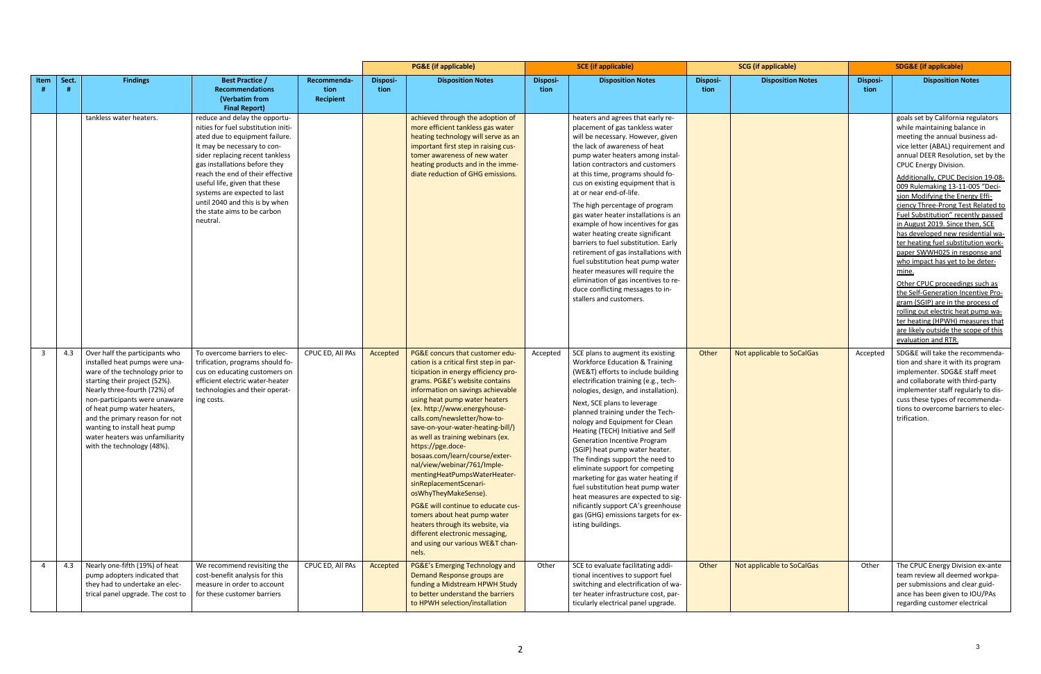|              |       |                                                                                                                                                                                                                                                                                                                                                                         |                                                                                                                                                                                                                                                                                                                                                                                             |                                  | <b>PG&amp;E</b> (if applicable) |                                                                                                                                                                                                                                                                                                                                                                                                                                                                                                                                                                                                                                                                                                                                        | <b>SCE</b> (if applicable) |                                                                                                                                                                                                                                                                                                                                                                                                                                                                                                                                                                                                                                                                                                                                            | <b>SCG</b> (if applicable) |                            | <b>SDG&amp;E</b> (if applicable) |                                                                                                                                                                                                                                                                                                                                                                                                                                                                                                                                                                                                                                                                                                                                                                                                                                                             |
|--------------|-------|-------------------------------------------------------------------------------------------------------------------------------------------------------------------------------------------------------------------------------------------------------------------------------------------------------------------------------------------------------------------------|---------------------------------------------------------------------------------------------------------------------------------------------------------------------------------------------------------------------------------------------------------------------------------------------------------------------------------------------------------------------------------------------|----------------------------------|---------------------------------|----------------------------------------------------------------------------------------------------------------------------------------------------------------------------------------------------------------------------------------------------------------------------------------------------------------------------------------------------------------------------------------------------------------------------------------------------------------------------------------------------------------------------------------------------------------------------------------------------------------------------------------------------------------------------------------------------------------------------------------|----------------------------|--------------------------------------------------------------------------------------------------------------------------------------------------------------------------------------------------------------------------------------------------------------------------------------------------------------------------------------------------------------------------------------------------------------------------------------------------------------------------------------------------------------------------------------------------------------------------------------------------------------------------------------------------------------------------------------------------------------------------------------------|----------------------------|----------------------------|----------------------------------|-------------------------------------------------------------------------------------------------------------------------------------------------------------------------------------------------------------------------------------------------------------------------------------------------------------------------------------------------------------------------------------------------------------------------------------------------------------------------------------------------------------------------------------------------------------------------------------------------------------------------------------------------------------------------------------------------------------------------------------------------------------------------------------------------------------------------------------------------------------|
| Item         | Sect. | <b>Findings</b>                                                                                                                                                                                                                                                                                                                                                         | <b>Best Practice /</b><br><b>Recommendations</b><br>(Verbatim from<br><b>Final Report)</b>                                                                                                                                                                                                                                                                                                  | Recommenda-<br>tion<br>Recipient | Disposi-<br>tion                | <b>Disposition Notes</b>                                                                                                                                                                                                                                                                                                                                                                                                                                                                                                                                                                                                                                                                                                               | <b>Disposi-</b><br>tion    | <b>Disposition Notes</b>                                                                                                                                                                                                                                                                                                                                                                                                                                                                                                                                                                                                                                                                                                                   | <b>Disposi-</b><br>tion    | <b>Disposition Notes</b>   | Disposi-<br>tion                 | <b>Disposition Notes</b>                                                                                                                                                                                                                                                                                                                                                                                                                                                                                                                                                                                                                                                                                                                                                                                                                                    |
|              |       | tankless water heaters.                                                                                                                                                                                                                                                                                                                                                 | reduce and delay the opportu-<br>nities for fuel substitution initi-<br>ated due to equipment failure.<br>It may be necessary to con-<br>sider replacing recent tankless<br>gas installations before they<br>reach the end of their effective<br>useful life, given that these<br>systems are expected to last<br>until 2040 and this is by when<br>the state aims to be carbon<br>neutral. |                                  |                                 | achieved through the adoption of<br>more efficient tankless gas water<br>heating technology will serve as an<br>important first step in raising cus-<br>tomer awareness of new water<br>heating products and in the imme-<br>diate reduction of GHG emissions.                                                                                                                                                                                                                                                                                                                                                                                                                                                                         |                            | heaters and agrees that early re-<br>placement of gas tankless water<br>will be necessary. However, given<br>the lack of awareness of heat<br>pump water heaters among instal-<br>lation contractors and customers<br>at this time, programs should fo-<br>cus on existing equipment that is<br>at or near end-of-life.<br>The high percentage of program<br>gas water heater installations is an<br>example of how incentives for gas<br>water heating create significant<br>barriers to fuel substitution. Early<br>retirement of gas installations with<br>fuel substitution heat pump water<br>heater measures will require the<br>elimination of gas incentives to re-<br>duce conflicting messages to in-<br>stallers and customers. |                            |                            |                                  | goals set by California regulators<br>while maintaining balance in<br>meeting the annual business ad-<br>vice letter (ABAL) requirement and<br>annual DEER Resolution, set by the<br><b>CPUC Energy Division.</b><br>Additionally, CPUC Decision 19-08-<br>009 Rulemaking 13-11-005 "Deci-<br>sion Modifying the Energy Effi-<br>ciency Three-Prong Test Related to<br>Fuel Substitution" recently passed<br>in August 2019. Since then, SCE<br>has developed new residential wa-<br>ter heating fuel substitution work-<br>paper SWWH025 in response and<br>who impact has yet to be deter-<br>mine.<br>Other CPUC proceedings such as<br>the Self-Generation Incentive Pro-<br>gram (SGIP) are in the process of<br>rolling out electric heat pump wa-<br>ter heating (HPWH) measures that<br>are likely outside the scope of this<br>evaluation and RTR. |
| $\mathbf{3}$ | 4.3   | Over half the participants who<br>installed heat pumps were una-<br>ware of the technology prior to<br>starting their project (52%).<br>Nearly three-fourth (72%) of<br>non-participants were unaware<br>of heat pump water heaters,<br>and the primary reason for not<br>wanting to install heat pump<br>water heaters was unfamiliarity<br>with the technology (48%). | To overcome barriers to elec-<br>trification, programs should fo-<br>cus on educating customers on<br>efficient electric water-heater<br>technologies and their operat-<br>ing costs.                                                                                                                                                                                                       | CPUC ED, All PAs                 | Accepted                        | PG&E concurs that customer edu-<br>cation is a critical first step in par-<br>ticipation in energy efficiency pro-<br>grams. PG&E's website contains<br>information on savings achievable<br>using heat pump water heaters<br>(ex. http://www.energyhouse-<br>calls.com/newsletter/how-to-<br>save-on-your-water-heating-bill/)<br>as well as training webinars (ex.<br>https://pge.doce-<br>bosaas.com/learn/course/exter-<br>nal/view/webinar/761/Imple-<br>mentingHeatPumpsWaterHeater-<br>sinReplacementScenari-<br>osWhyTheyMakeSense).<br>PG&E will continue to educate cus-<br>tomers about heat pump water<br>heaters through its website, via<br>different electronic messaging,<br>and using our various WE&T chan-<br>nels. | Accepted                   | SCE plans to augment its existing<br><b>Workforce Education &amp; Training</b><br>(WE&T) efforts to include building<br>electrification training (e.g., tech-<br>nologies, design, and installation).<br>Next, SCE plans to leverage<br>planned training under the Tech-<br>nology and Equipment for Clean<br>Heating (TECH) Initiative and Self<br>Generation Incentive Program<br>(SGIP) heat pump water heater.<br>The findings support the need to<br>eliminate support for competing<br>marketing for gas water heating if<br>fuel substitution heat pump water<br>heat measures are expected to sig-<br>nificantly support CA's greenhouse<br>gas (GHG) emissions targets for ex-<br>isting buildings.                               | Other                      | Not applicable to SoCalGas | Accepted                         | SDG&E will take the recommenda-<br>tion and share it with its program<br>implementer. SDG&E staff meet<br>and collaborate with third-party<br>implementer staff regularly to dis-<br>cuss these types of recommenda-<br>tions to overcome barriers to elec-<br>trification.                                                                                                                                                                                                                                                                                                                                                                                                                                                                                                                                                                                 |
|              | 4.3   | Nearly one-fifth (19%) of heat<br>pump adopters indicated that<br>they had to undertake an elec-<br>trical panel upgrade. The cost to                                                                                                                                                                                                                                   | We recommend revisiting the<br>cost-benefit analysis for this<br>measure in order to account<br>for these customer barriers                                                                                                                                                                                                                                                                 | CPUC ED, All PAs                 | Accepted                        | PG&E's Emerging Technology and<br>Demand Response groups are<br>funding a Midstream HPWH Study<br>to better understand the barriers<br>to HPWH selection/installation                                                                                                                                                                                                                                                                                                                                                                                                                                                                                                                                                                  | Other                      | SCE to evaluate facilitating addi-<br>tional incentives to support fuel<br>switching and electrification of wa-<br>ter heater infrastructure cost, par-<br>ticularly electrical panel upgrade.                                                                                                                                                                                                                                                                                                                                                                                                                                                                                                                                             | Other                      | Not applicable to SoCalGas | Other                            | The CPUC Energy Division ex-ante<br>team review all deemed workpa-<br>per submissions and clear guid-<br>ance has been given to IOU/PAs<br>regarding customer electrical                                                                                                                                                                                                                                                                                                                                                                                                                                                                                                                                                                                                                                                                                    |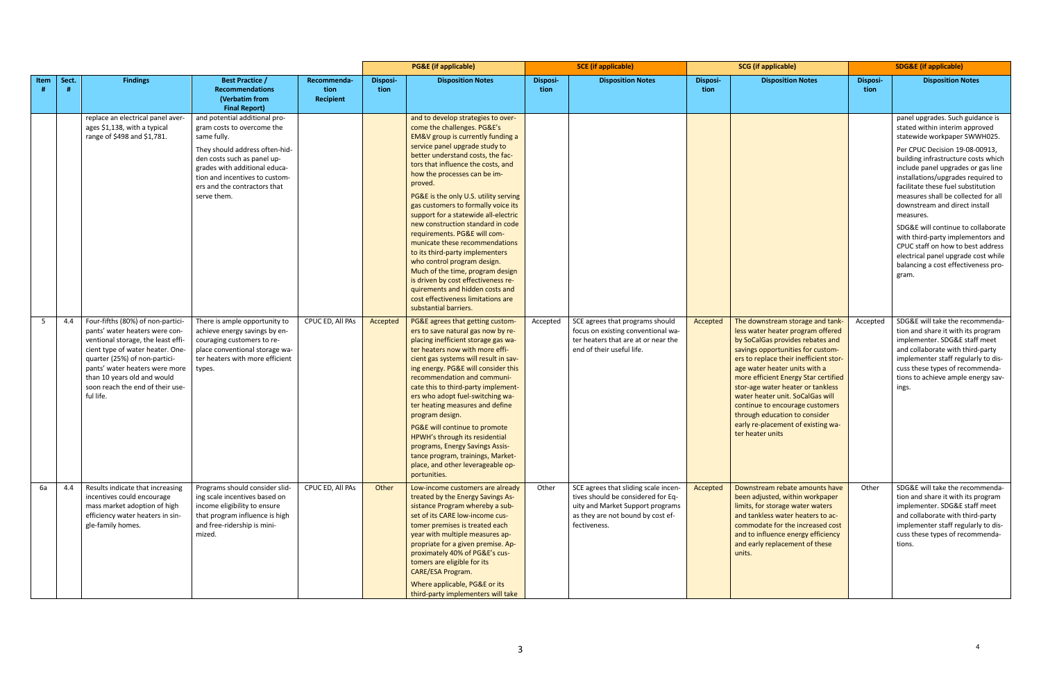|                |       |                                                                                                                                                                                                                                                                                                  |                                                                                                                                                                                                                                                               |                                  |                  | <b>PG&amp;E</b> (if applicable)                                                                                                                                                                                                                                                                                                                                                                                                                                                                                                                                                                                                                                                                                                              | <b>SCE</b> (if applicable) |                                                                                                                                                                     | <b>SCG</b> (if applicable) |                                                                                                                                                                                                                                                                                                                                                                                                                                                                          | <b>SDG&amp;E</b> (if applicable) |                                                                                                                                                                                                                                                                                                                                                                                                                                                                                                                                                                                           |
|----------------|-------|--------------------------------------------------------------------------------------------------------------------------------------------------------------------------------------------------------------------------------------------------------------------------------------------------|---------------------------------------------------------------------------------------------------------------------------------------------------------------------------------------------------------------------------------------------------------------|----------------------------------|------------------|----------------------------------------------------------------------------------------------------------------------------------------------------------------------------------------------------------------------------------------------------------------------------------------------------------------------------------------------------------------------------------------------------------------------------------------------------------------------------------------------------------------------------------------------------------------------------------------------------------------------------------------------------------------------------------------------------------------------------------------------|----------------------------|---------------------------------------------------------------------------------------------------------------------------------------------------------------------|----------------------------|--------------------------------------------------------------------------------------------------------------------------------------------------------------------------------------------------------------------------------------------------------------------------------------------------------------------------------------------------------------------------------------------------------------------------------------------------------------------------|----------------------------------|-------------------------------------------------------------------------------------------------------------------------------------------------------------------------------------------------------------------------------------------------------------------------------------------------------------------------------------------------------------------------------------------------------------------------------------------------------------------------------------------------------------------------------------------------------------------------------------------|
| Item           | Sect. | <b>Findings</b>                                                                                                                                                                                                                                                                                  | <b>Best Practice /</b><br><b>Recommendations</b><br>(Verbatim from<br><b>Final Report)</b>                                                                                                                                                                    | Recommenda-<br>tion<br>Recipient | Disposi-<br>tion | <b>Disposition Notes</b>                                                                                                                                                                                                                                                                                                                                                                                                                                                                                                                                                                                                                                                                                                                     | <b>Disposi-</b><br>tion    | <b>Disposition Notes</b>                                                                                                                                            | <b>Disposi-</b><br>tion    | <b>Disposition Notes</b>                                                                                                                                                                                                                                                                                                                                                                                                                                                 | Disposi-<br>tion                 | <b>Disposition Notes</b>                                                                                                                                                                                                                                                                                                                                                                                                                                                                                                                                                                  |
|                |       | replace an electrical panel aver-<br>ages \$1,138, with a typical<br>range of \$498 and \$1,781.                                                                                                                                                                                                 | and potential additional pro-<br>gram costs to overcome the<br>same fully.<br>They should address often-hid-<br>den costs such as panel up-<br>grades with additional educa-<br>tion and incentives to custom-<br>ers and the contractors that<br>serve them. |                                  |                  | and to develop strategies to over-<br>come the challenges. PG&E's<br>EM&V group is currently funding a<br>service panel upgrade study to<br>better understand costs, the fac-<br>tors that influence the costs, and<br>how the processes can be im-<br>proved.<br>PG&E is the only U.S. utility serving<br>gas customers to formally voice its<br>support for a statewide all-electric<br>new construction standard in code<br>requirements. PG&E will com-<br>municate these recommendations<br>to its third-party implementers<br>who control program design.<br>Much of the time, program design<br>is driven by cost effectiveness re-<br>quirements and hidden costs and<br>cost effectiveness limitations are<br>substantial barriers. |                            |                                                                                                                                                                     |                            |                                                                                                                                                                                                                                                                                                                                                                                                                                                                          |                                  | panel upgrades. Such guidance is<br>stated within interim approved<br>statewide workpaper SWWH025.<br>Per CPUC Decision 19-08-00913,<br>building infrastructure costs which<br>include panel upgrades or gas line<br>installations/upgrades required to<br>facilitate these fuel substitution<br>measures shall be collected for all<br>downstream and direct install<br>measures.<br>SDG&E will continue to collaborate<br>with third-party implementors and<br>CPUC staff on how to best address<br>electrical panel upgrade cost while<br>balancing a cost effectiveness pro-<br>gram. |
| 5 <sub>1</sub> | 4.4   | Four-fifths (80%) of non-partici-<br>pants' water heaters were con-<br>ventional storage, the least effi-<br>cient type of water heater. One-<br>quarter (25%) of non-partici-<br>pants' water heaters were more<br>than 10 years old and would<br>soon reach the end of their use-<br>ful life. | There is ample opportunity to<br>achieve energy savings by en-<br>couraging customers to re-<br>place conventional storage wa-<br>ter heaters with more efficient<br>types.                                                                                   | CPUC ED, All PAs                 | Accepted         | PG&E agrees that getting custom-<br>ers to save natural gas now by re-<br>placing inefficient storage gas wa-<br>ter heaters now with more effi-<br>cient gas systems will result in sav-<br>ing energy. PG&E will consider this<br>recommendation and communi-<br>cate this to third-party implement-<br>ers who adopt fuel-switching wa-<br>ter heating measures and define<br>program design.<br>PG&E will continue to promote<br>HPWH's through its residential<br>programs, Energy Savings Assis-<br>tance program, trainings, Market-<br>place, and other leverageable op-<br>portunities.                                                                                                                                             | Accepted                   | SCE agrees that programs should<br>focus on existing conventional wa-<br>ter heaters that are at or near the<br>end of their useful life.                           | Accepted                   | The downstream storage and tank-<br>less water heater program offered<br>by SoCalGas provides rebates and<br>savings opportunities for custom-<br>ers to replace their inefficient stor-<br>age water heater units with a<br>more efficient Energy Star certified<br>stor-age water heater or tankless<br>water heater unit. SoCalGas will<br>continue to encourage customers<br>through education to consider<br>early re-placement of existing wa-<br>ter heater units | Accepted                         | SDG&E will take the recommenda-<br>tion and share it with its program<br>implementer. SDG&E staff meet<br>and collaborate with third-party<br>implementer staff regularly to dis-<br>cuss these types of recommenda-<br>tions to achieve ample energy sav-<br>ings.                                                                                                                                                                                                                                                                                                                       |
| 6а             | 4.4   | Results indicate that increasing<br>incentives could encourage<br>mass market adoption of high<br>efficiency water heaters in sin-<br>gle-family homes.                                                                                                                                          | Programs should consider slid-<br>ing scale incentives based on<br>income eligibility to ensure<br>that program influence is high<br>and free-ridership is mini-<br>mized.                                                                                    | CPUC ED, All PAs                 | Other            | Low-income customers are already<br>treated by the Energy Savings As-<br>sistance Program whereby a sub-<br>set of its CARE low-income cus-<br>tomer premises is treated each<br>year with multiple measures ap-<br>propriate for a given premise. Ap-<br>proximately 40% of PG&E's cus-<br>tomers are eligible for its<br>CARE/ESA Program.<br>Where applicable, PG&E or its<br>third-party implementers will take                                                                                                                                                                                                                                                                                                                          | Other                      | SCE agrees that sliding scale incen-<br>tives should be considered for Eq-<br>uity and Market Support programs<br>as they are not bound by cost ef-<br>fectiveness. | Accepted                   | Downstream rebate amounts have<br>been adjusted, within workpaper<br>limits, for storage water waters<br>and tankless water heaters to ac-<br>commodate for the increased cost<br>and to influence energy efficiency<br>and early replacement of these<br>units.                                                                                                                                                                                                         | Other                            | SDG&E will take the recommenda-<br>tion and share it with its program<br>implementer. SDG&E staff meet<br>and collaborate with third-party<br>implementer staff regularly to dis-<br>cuss these types of recommenda-<br>tions.                                                                                                                                                                                                                                                                                                                                                            |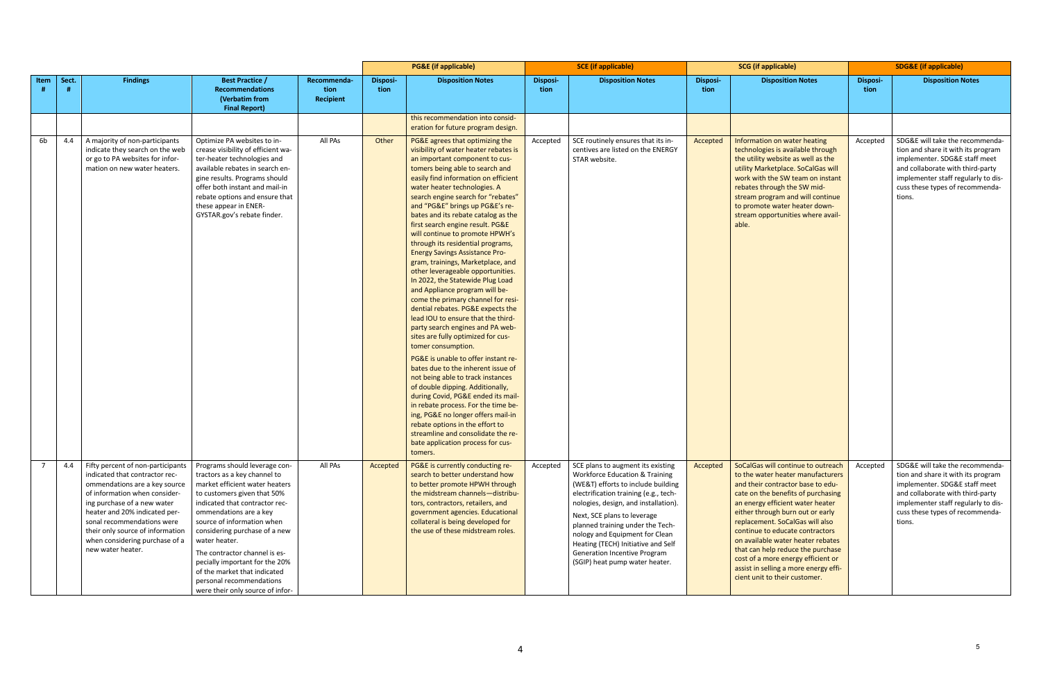|      |             |                                                                                                                                                                                                                                                                                                                                |                                                                                                                                                                                                                                                                                                                                                                                                                                               |                                  | <b>PG&amp;E</b> (if applicable) |                                                                                                                                                                                                                                                                                                                                                                                                                                                                                                                                                                                                                                                                                                                                                                                                                                                                                                                                                                                                                                                                                                                                                                                                                                                    | <b>SCE</b> (if applicable) |                                                                                                                                                                                                                                                                                                                                                                                                                    | <b>SCG</b> (if applicable) |                                                                                                                                                                                                                                                                                                                                                                                                                                                                                            | <b>SDG&amp;E (if applicable)</b> |                                                                                                                                                                                                                                |
|------|-------------|--------------------------------------------------------------------------------------------------------------------------------------------------------------------------------------------------------------------------------------------------------------------------------------------------------------------------------|-----------------------------------------------------------------------------------------------------------------------------------------------------------------------------------------------------------------------------------------------------------------------------------------------------------------------------------------------------------------------------------------------------------------------------------------------|----------------------------------|---------------------------------|----------------------------------------------------------------------------------------------------------------------------------------------------------------------------------------------------------------------------------------------------------------------------------------------------------------------------------------------------------------------------------------------------------------------------------------------------------------------------------------------------------------------------------------------------------------------------------------------------------------------------------------------------------------------------------------------------------------------------------------------------------------------------------------------------------------------------------------------------------------------------------------------------------------------------------------------------------------------------------------------------------------------------------------------------------------------------------------------------------------------------------------------------------------------------------------------------------------------------------------------------|----------------------------|--------------------------------------------------------------------------------------------------------------------------------------------------------------------------------------------------------------------------------------------------------------------------------------------------------------------------------------------------------------------------------------------------------------------|----------------------------|--------------------------------------------------------------------------------------------------------------------------------------------------------------------------------------------------------------------------------------------------------------------------------------------------------------------------------------------------------------------------------------------------------------------------------------------------------------------------------------------|----------------------------------|--------------------------------------------------------------------------------------------------------------------------------------------------------------------------------------------------------------------------------|
| Item | Sect.<br>-# | <b>Findings</b>                                                                                                                                                                                                                                                                                                                | <b>Best Practice /</b><br><b>Recommendations</b><br>(Verbatim from<br><b>Final Report)</b>                                                                                                                                                                                                                                                                                                                                                    | Recommenda-<br>tion<br>Recipient | <b>Disposi-</b><br>tion         | <b>Disposition Notes</b>                                                                                                                                                                                                                                                                                                                                                                                                                                                                                                                                                                                                                                                                                                                                                                                                                                                                                                                                                                                                                                                                                                                                                                                                                           | Disposi-<br>tion           | <b>Disposition Notes</b>                                                                                                                                                                                                                                                                                                                                                                                           | <b>Disposi-</b><br>tion    | <b>Disposition Notes</b>                                                                                                                                                                                                                                                                                                                                                                                                                                                                   | <b>Disposi-</b><br>tion          | <b>Disposition Notes</b>                                                                                                                                                                                                       |
|      |             |                                                                                                                                                                                                                                                                                                                                |                                                                                                                                                                                                                                                                                                                                                                                                                                               |                                  |                                 | this recommendation into consid-<br>eration for future program design.                                                                                                                                                                                                                                                                                                                                                                                                                                                                                                                                                                                                                                                                                                                                                                                                                                                                                                                                                                                                                                                                                                                                                                             |                            |                                                                                                                                                                                                                                                                                                                                                                                                                    |                            |                                                                                                                                                                                                                                                                                                                                                                                                                                                                                            |                                  |                                                                                                                                                                                                                                |
| 6b   | 4.4         | A majority of non-participants<br>indicate they search on the web<br>or go to PA websites for infor-<br>mation on new water heaters.                                                                                                                                                                                           | Optimize PA websites to in-<br>crease visibility of efficient wa-<br>ter-heater technologies and<br>available rebates in search en-<br>gine results. Programs should<br>offer both instant and mail-in<br>rebate options and ensure that<br>these appear in ENER-<br>GYSTAR.gov's rebate finder.                                                                                                                                              | All PAs                          | Other                           | PG&E agrees that optimizing the<br>visibility of water heater rebates is<br>an important component to cus-<br>tomers being able to search and<br>easily find information on efficient<br>water heater technologies. A<br>search engine search for "rebates"<br>and "PG&E" brings up PG&E's re-<br>bates and its rebate catalog as the<br>first search engine result. PG&E<br>will continue to promote HPWH's<br>through its residential programs,<br><b>Energy Savings Assistance Pro-</b><br>gram, trainings, Marketplace, and<br>other leverageable opportunities.<br>In 2022, the Statewide Plug Load<br>and Appliance program will be-<br>come the primary channel for resi-<br>dential rebates. PG&E expects the<br>lead IOU to ensure that the third-<br>party search engines and PA web-<br>sites are fully optimized for cus-<br>tomer consumption.<br>PG&E is unable to offer instant re-<br>bates due to the inherent issue of<br>not being able to track instances<br>of double dipping. Additionally,<br>during Covid, PG&E ended its mail-<br>in rebate process. For the time be-<br>ing, PG&E no longer offers mail-in<br>rebate options in the effort to<br>streamline and consolidate the re-<br>bate application process for cus- | Accepted                   | SCE routinely ensures that its in-<br>centives are listed on the ENERGY<br>STAR website.                                                                                                                                                                                                                                                                                                                           | Accepted                   | Information on water heating<br>technologies is available through<br>the utility website as well as the<br>utility Marketplace. SoCalGas will<br>work with the SW team on instant<br>rebates through the SW mid-<br>stream program and will continue<br>to promote water heater down-<br>stream opportunities where avail-<br>able.                                                                                                                                                        | Accepted                         | SDG&E will take the recommenda-<br>tion and share it with its program<br>implementer. SDG&E staff meet<br>and collaborate with third-party<br>implementer staff regularly to dis-<br>cuss these types of recommenda-<br>tions. |
|      | 4.4         | Fifty percent of non-participants<br>indicated that contractor rec-<br>ommendations are a key source<br>of information when consider-<br>ing purchase of a new water<br>heater and 20% indicated per-<br>sonal recommendations were<br>their only source of information<br>when considering purchase of a<br>new water heater. | Programs should leverage con-<br>tractors as a key channel to<br>market efficient water heaters<br>to customers given that 50%<br>indicated that contractor rec-<br>ommendations are a key<br>source of information when<br>considering purchase of a new<br>water heater.<br>The contractor channel is es-<br>pecially important for the 20%<br>of the market that indicated<br>personal recommendations<br>were their only source of infor- | All PAs                          | Accepted                        | tomers.<br>PG&E is currently conducting re-<br>search to better understand how<br>to better promote HPWH through<br>the midstream channels-distribu-<br>tors, contractors, retailers, and<br>government agencies. Educational<br>collateral is being developed for<br>the use of these midstream roles.                                                                                                                                                                                                                                                                                                                                                                                                                                                                                                                                                                                                                                                                                                                                                                                                                                                                                                                                            | Accepted                   | SCE plans to augment its existing<br><b>Workforce Education &amp; Training</b><br>(WE&T) efforts to include building<br>electrification training (e.g., tech-<br>nologies, design, and installation).<br>Next, SCE plans to leverage<br>planned training under the Tech-<br>nology and Equipment for Clean<br>Heating (TECH) Initiative and Self<br>Generation Incentive Program<br>(SGIP) heat pump water heater. | Accepted                   | SoCalGas will continue to outreach<br>to the water heater manufacturers<br>and their contractor base to edu-<br>cate on the benefits of purchasing<br>an energy efficient water heater<br>either through burn out or early<br>replacement. SoCalGas will also<br>continue to educate contractors<br>on available water heater rebates<br>that can help reduce the purchase<br>cost of a more energy efficient or<br>assist in selling a more energy effi-<br>cient unit to their customer. | Accepted                         | SDG&E will take the recommenda-<br>tion and share it with its program<br>implementer. SDG&E staff meet<br>and collaborate with third-party<br>implementer staff regularly to dis-<br>cuss these types of recommenda-<br>tions. |